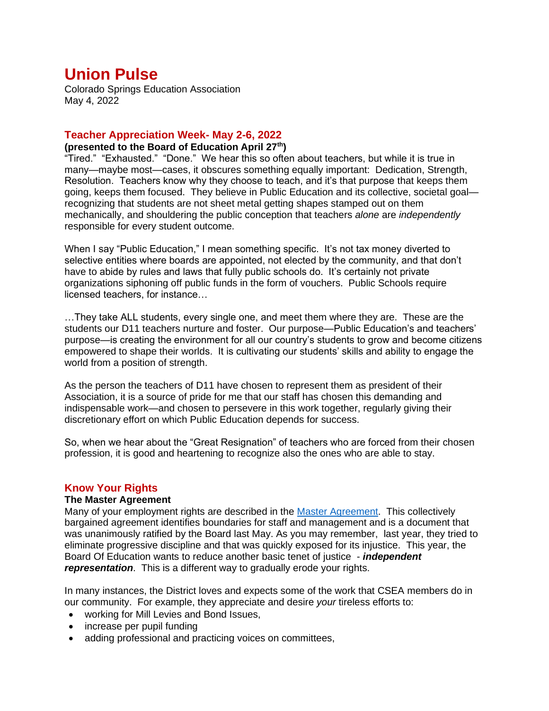# **Union Pulse**

Colorado Springs Education Association May 4, 2022

# **Teacher Appreciation Week- May 2-6, 2022**

# **(presented to the Board of Education April 27th)**

"Tired." "Exhausted." "Done." We hear this so often about teachers, but while it is true in many—maybe most—cases, it obscures something equally important: Dedication, Strength, Resolution. Teachers know why they choose to teach, and it's that purpose that keeps them going, keeps them focused. They believe in Public Education and its collective, societal goal recognizing that students are not sheet metal getting shapes stamped out on them mechanically, and shouldering the public conception that teachers *alone* are *independently* responsible for every student outcome.

When I say "Public Education," I mean something specific. It's not tax money diverted to selective entities where boards are appointed, not elected by the community, and that don't have to abide by rules and laws that fully public schools do. It's certainly not private organizations siphoning off public funds in the form of vouchers. Public Schools require licensed teachers, for instance…

…They take ALL students, every single one, and meet them where they are. These are the students our D11 teachers nurture and foster. Our purpose—Public Education's and teachers' purpose—is creating the environment for all our country's students to grow and become citizens empowered to shape their worlds. It is cultivating our students' skills and ability to engage the world from a position of strength.

As the person the teachers of D11 have chosen to represent them as president of their Association, it is a source of pride for me that our staff has chosen this demanding and indispensable work—and chosen to persevere in this work together, regularly giving their discretionary effort on which Public Education depends for success.

So, when we hear about the "Great Resignation" of teachers who are forced from their chosen profession, it is good and heartening to recognize also the ones who are able to stay.

# **Know Your Rights**

#### **The Master Agreement**

Many of your employment rights are described in the [Master Agreement.](https://www.cseateacher.org/master-agreement/) This collectively bargained agreement identifies boundaries for staff and management and is a document that was unanimously ratified by the Board last May. As you may remember, last year, they tried to eliminate progressive discipline and that was quickly exposed for its injustice. This year, the Board Of Education wants to reduce another basic tenet of justice - *independent representation*. This is a different way to gradually erode your rights.

In many instances, the District loves and expects some of the work that CSEA members do in our community. For example, they appreciate and desire *your* tireless efforts to:

- working for Mill Levies and Bond Issues,
- increase per pupil funding
- adding professional and practicing voices on committees,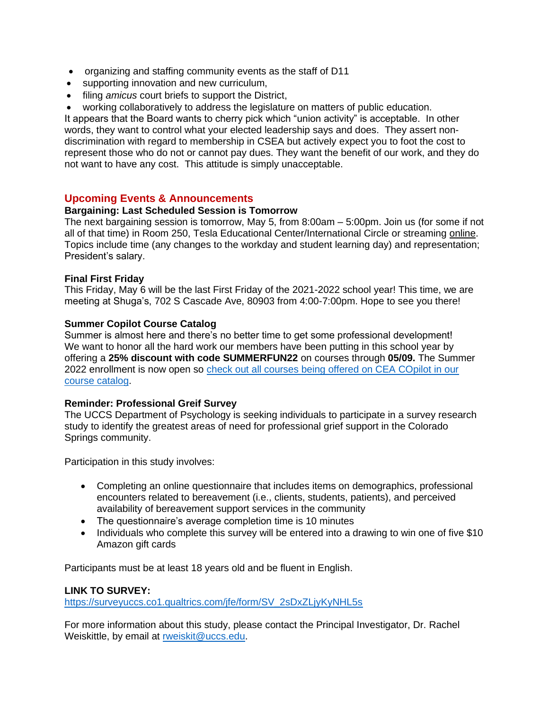- organizing and staffing community events as the staff of D11
- supporting innovation and new curriculum,
- filing *amicus* court briefs to support the District,
- working collaboratively to address the legislature on matters of public education.

It appears that the Board wants to cherry pick which "union activity" is acceptable. In other words, they want to control what your elected leadership says and does. They assert nondiscrimination with regard to membership in CSEA but actively expect you to foot the cost to represent those who do not or cannot pay dues. They want the benefit of our work, and they do not want to have any cost. This attitude is simply unacceptable.

#### **Upcoming Events & Announcements**

#### **Bargaining: Last Scheduled Session is Tomorrow**

The next bargaining session is tomorrow, May 5, from 8:00am – 5:00pm. Join us (for some if not all of that time) in Room 250, Tesla Educational Center/International Circle or streaming [online.](https://www.d11.org/Page/1755) Topics include time (any changes to the workday and student learning day) and representation; President's salary.

#### **Final First Friday**

This Friday, May 6 will be the last First Friday of the 2021-2022 school year! This time, we are meeting at Shuga's, 702 S Cascade Ave, 80903 from 4:00-7:00pm. Hope to see you there!

#### **Summer Copilot Course Catalog**

Summer is almost here and there's no better time to get some professional development! We want to honor all the hard work our members have been putting in this school year by offering a **25% discount with code SUMMERFUN22** on courses through **05/09.** The Summer 2022 enrollment is now open so [check out all courses being offered on CEA COpilot in our](http://click.email.nea.org/?qs=8faf0d834425f2a95eb5deeb17985c66bed707341f37bc51c9f7db21f7262ed16b13f11973fc0674081772afff1bf95c1ac2bf0e0a0289ef)  [course catalog.](http://click.email.nea.org/?qs=8faf0d834425f2a95eb5deeb17985c66bed707341f37bc51c9f7db21f7262ed16b13f11973fc0674081772afff1bf95c1ac2bf0e0a0289ef)

#### **Reminder: Professional Greif Survey**

The UCCS Department of Psychology is seeking individuals to participate in a survey research study to identify the greatest areas of need for professional grief support in the Colorado Springs community.

Participation in this study involves:

- Completing an online questionnaire that includes items on demographics, professional encounters related to bereavement (i.e., clients, students, patients), and perceived availability of bereavement support services in the community
- The questionnaire's average completion time is 10 minutes
- Individuals who complete this survey will be entered into a drawing to win one of five \$10 Amazon gift cards

Participants must be at least 18 years old and be fluent in English.

#### **LINK TO SURVEY:**

[https://surveyuccs.co1.qualtrics.com/jfe/form/SV\\_2sDxZLjyKyNHL5s](https://surveyuccs.co1.qualtrics.com/jfe/form/SV_2sDxZLjyKyNHL5s)

For more information about this study, please contact the Principal Investigator, Dr. Rachel Weiskittle, by email at [rweiskit@uccs.edu.](mailto:rweiskit@uccs.edu)